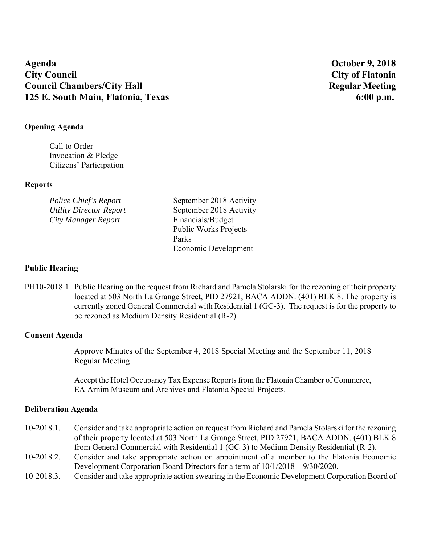# **Agenda October 9, 2018 City Council City of Flatonia Council Chambers/City Hall Regular Meeting 125 E. South Main, Flatonia, Texas 6:00 p.m. 6:00 p.m.**

# **Opening Agenda**

Call to Order Invocation & Pledge Citizens' Participation

## **Reports**

| Police Chief's Report   | September 2018 Activity      |
|-------------------------|------------------------------|
| Utility Director Report | September 2018 Activity      |
| City Manager Report     | Financials/Budget            |
|                         | <b>Public Works Projects</b> |
|                         | Parks                        |
|                         | Economic Development         |

# **Public Hearing**

PH10-2018.1 Public Hearing on the request from Richard and Pamela Stolarski for the rezoning of their property located at 503 North La Grange Street, PID 27921, BACA ADDN. (401) BLK 8. The property is currently zoned General Commercial with Residential 1 (GC-3). The request is for the property to be rezoned as Medium Density Residential (R-2).

## **Consent Agenda**

Approve Minutes of the September 4, 2018 Special Meeting and the September 11, 2018 Regular Meeting

Accept the Hotel Occupancy Tax Expense Reports from the Flatonia Chamber of Commerce, EA Arnim Museum and Archives and Flatonia Special Projects.

## **Deliberation Agenda**

- 10-2018.1. Consider and take appropriate action on request from Richard and Pamela Stolarski for the rezoning of their property located at 503 North La Grange Street, PID 27921, BACA ADDN. (401) BLK 8 from General Commercial with Residential 1 (GC-3) to Medium Density Residential (R-2).
- 10-2018.2. Consider and take appropriate action on appointment of a member to the Flatonia Economic Development Corporation Board Directors for a term of 10/1/2018 – 9/30/2020.
- 10-2018.3. Consider and take appropriate action swearing in the Economic Development Corporation Board of